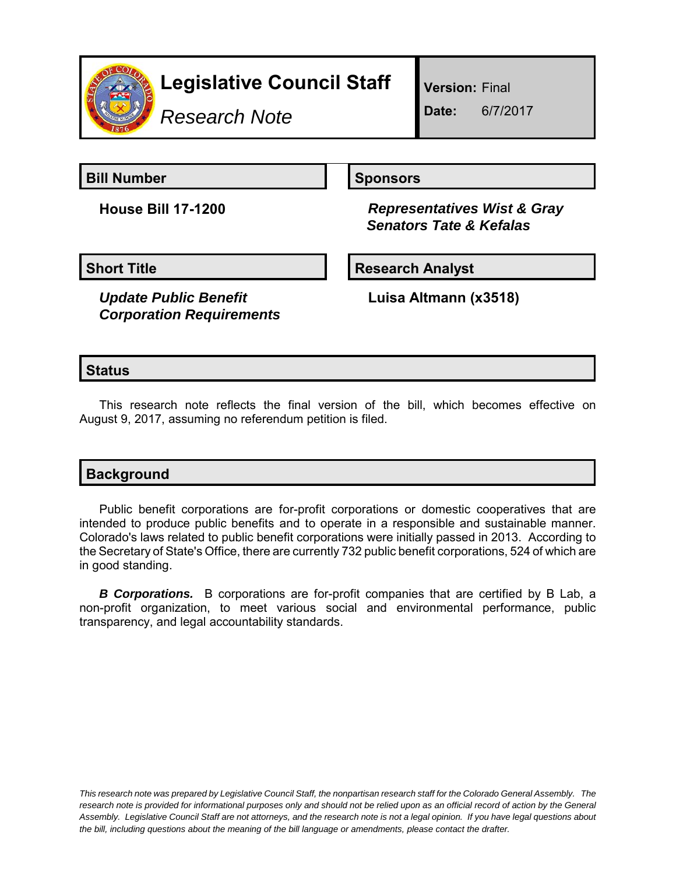

*Research Note*

**Version:** Final

**Date:** 6/7/2017

**Bill Number Sponsors Sponsors** 

**House Bill 17-1200** *Representatives Wist & Gray Senators Tate & Kefalas*

*Update Public Benefit Corporation Requirements*

**Short Title Community Community Community Research Analyst** 

**Luisa Altmann (x3518)**

## **Status**

This research note reflects the final version of the bill, which becomes effective on August 9, 2017, assuming no referendum petition is filed.

| <b>Background</b> |  |  |
|-------------------|--|--|
|                   |  |  |

Public benefit corporations are for-profit corporations or domestic cooperatives that are intended to produce public benefits and to operate in a responsible and sustainable manner. Colorado's laws related to public benefit corporations were initially passed in 2013. According to the Secretary of State's Office, there are currently 732 public benefit corporations, 524 of which are in good standing.

*B Corporations.* B corporations are for-profit companies that are certified by B Lab, a non-profit organization, to meet various social and environmental performance, public transparency, and legal accountability standards.